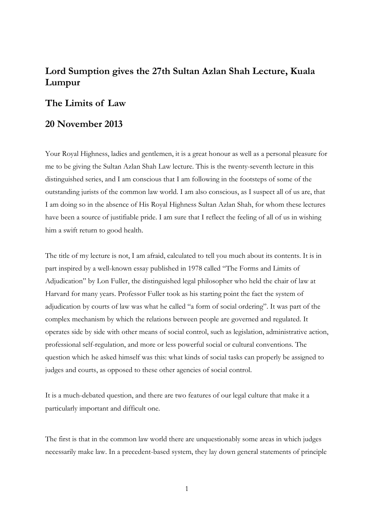## **Lord Sumption gives the 27th Sultan Azlan Shah Lecture, Kuala Lumpur**

## **The Limits of Law**

## **20 November 2013**

Your Royal Highness, ladies and gentlemen, it is a great honour as well as a personal pleasure for me to be giving the Sultan Azlan Shah Law lecture. This is the twenty-seventh lecture in this distinguished series, and I am conscious that I am following in the footsteps of some of the outstanding jurists of the common law world. I am also conscious, as I suspect all of us are, that I am doing so in the absence of His Royal Highness Sultan Azlan Shah, for whom these lectures have been a source of justifiable pride. I am sure that I reflect the feeling of all of us in wishing him a swift return to good health.

The title of my lecture is not, I am afraid, calculated to tell you much about its contents. It is in part inspired by a well-known essay published in 1978 called "The Forms and Limits of Adjudication" by Lon Fuller, the distinguished legal philosopher who held the chair of law at Harvard for many years. Professor Fuller took as his starting point the fact the system of adjudication by courts of law was what he called "a form of social ordering". It was part of the complex mechanism by which the relations between people are governed and regulated. It operates side by side with other means of social control, such as legislation, administrative action, professional self-regulation, and more or less powerful social or cultural conventions. The question which he asked himself was this: what kinds of social tasks can properly be assigned to judges and courts, as opposed to these other agencies of social control.

It is a much-debated question, and there are two features of our legal culture that make it a particularly important and difficult one.

The first is that in the common law world there are unquestionably some areas in which judges necessarily make law. In a precedent-based system, they lay down general statements of principle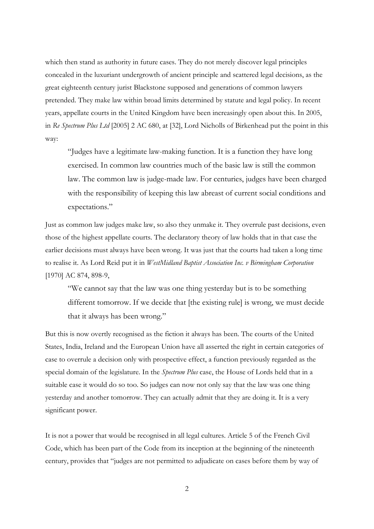which then stand as authority in future cases. They do not merely discover legal principles concealed in the luxuriant undergrowth of ancient principle and scattered legal decisions, as the great eighteenth century jurist Blackstone supposed and generations of common lawyers pretended. They make law within broad limits determined by statute and legal policy. In recent years, appellate courts in the United Kingdom have been increasingly open about this. In 2005, in *Re Spectrum Plus Ltd* [2005] 2 AC 680, at [32], Lord Nicholls of Birkenhead put the point in this way:

"Judges have a legitimate law-making function. It is a function they have long exercised. In common law countries much of the basic law is still the common law. The common law is judge-made law. For centuries, judges have been charged with the responsibility of keeping this law abreast of current social conditions and expectations."

Just as common law judges make law, so also they unmake it. They overrule past decisions, even those of the highest appellate courts. The declaratory theory of law holds that in that case the earlier decisions must always have been wrong. It was just that the courts had taken a long time to realise it. As Lord Reid put it in *WestMidland Baptist Association Inc. v Birmingham Corporation*  [1970] AC 874, 898-9,

"We cannot say that the law was one thing yesterday but is to be something different tomorrow. If we decide that [the existing rule] is wrong, we must decide that it always has been wrong."

But this is now overtly recognised as the fiction it always has been. The courts of the United States, India, Ireland and the European Union have all asserted the right in certain categories of case to overrule a decision only with prospective effect, a function previously regarded as the special domain of the legislature. In the *Spectrum Plus* case, the House of Lords held that in a suitable case it would do so too. So judges can now not only say that the law was one thing yesterday and another tomorrow. They can actually admit that they are doing it. It is a very significant power.

It is not a power that would be recognised in all legal cultures. Article 5 of the French Civil Code, which has been part of the Code from its inception at the beginning of the nineteenth century, provides that "judges are not permitted to adjudicate on cases before them by way of

2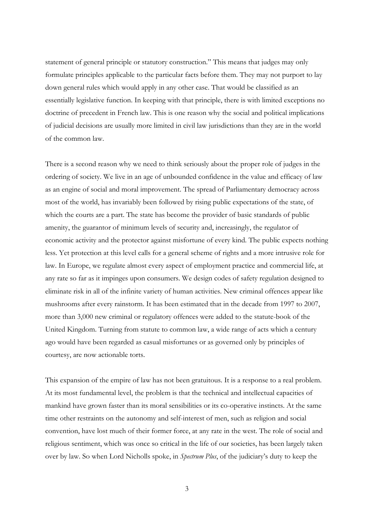statement of general principle or statutory construction." This means that judges may only formulate principles applicable to the particular facts before them. They may not purport to lay down general rules which would apply in any other case. That would be classified as an essentially legislative function. In keeping with that principle, there is with limited exceptions no doctrine of precedent in French law. This is one reason why the social and political implications of judicial decisions are usually more limited in civil law jurisdictions than they are in the world of the common law.

There is a second reason why we need to think seriously about the proper role of judges in the ordering of society. We live in an age of unbounded confidence in the value and efficacy of law as an engine of social and moral improvement. The spread of Parliamentary democracy across most of the world, has invariably been followed by rising public expectations of the state, of which the courts are a part. The state has become the provider of basic standards of public amenity, the guarantor of minimum levels of security and, increasingly, the regulator of economic activity and the protector against misfortune of every kind. The public expects nothing less. Yet protection at this level calls for a general scheme of rights and a more intrusive role for law. In Europe, we regulate almost every aspect of employment practice and commercial life, at any rate so far as it impinges upon consumers. We design codes of safety regulation designed to eliminate risk in all of the infinite variety of human activities. New criminal offences appear like mushrooms after every rainstorm. It has been estimated that in the decade from 1997 to 2007, more than 3,000 new criminal or regulatory offences were added to the statute-book of the United Kingdom. Turning from statute to common law, a wide range of acts which a century ago would have been regarded as casual misfortunes or as governed only by principles of courtesy, are now actionable torts.

This expansion of the empire of law has not been gratuitous. It is a response to a real problem. At its most fundamental level, the problem is that the technical and intellectual capacities of mankind have grown faster than its moral sensibilities or its co-operative instincts. At the same time other restraints on the autonomy and self-interest of men, such as religion and social convention, have lost much of their former force, at any rate in the west. The role of social and religious sentiment, which was once so critical in the life of our societies, has been largely taken over by law. So when Lord Nicholls spoke, in *Spectrum Plus*, of the judiciary's duty to keep the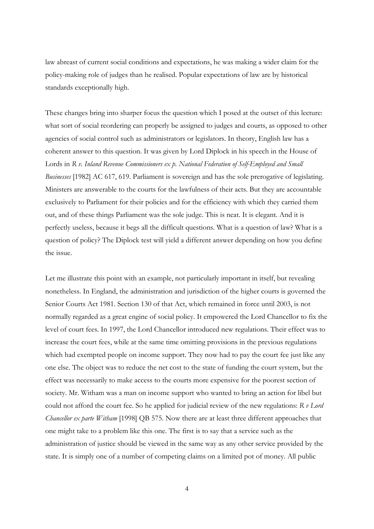law abreast of current social conditions and expectations, he was making a wider claim for the policy-making role of judges than he realised. Popular expectations of law are by historical standards exceptionally high.

These changes bring into sharper focus the question which I posed at the outset of this lecture: what sort of social reordering can properly be assigned to judges and courts, as opposed to other agencies of social control such as administrators or legislators. In theory, English law has a coherent answer to this question. It was given by Lord Diplock in his speech in the House of Lords in *R v. Inland Revenue Commissioners ex p. National Federation of Self-Employed and Small Businesses* [1982] AC 617, 619. Parliament is sovereign and has the sole prerogative of legislating. Ministers are answerable to the courts for the lawfulness of their acts. But they are accountable exclusively to Parliament for their policies and for the efficiency with which they carried them out, and of these things Parliament was the sole judge. This is neat. It is elegant. And it is perfectly useless, because it begs all the difficult questions. What is a question of law? What is a question of policy? The Diplock test will yield a different answer depending on how you define the issue.

Let me illustrate this point with an example, not particularly important in itself, but revealing nonetheless. In England, the administration and jurisdiction of the higher courts is governed the Senior Courts Act 1981. Section 130 of that Act, which remained in force until 2003, is not normally regarded as a great engine of social policy. It empowered the Lord Chancellor to fix the level of court fees. In 1997, the Lord Chancellor introduced new regulations. Their effect was to increase the court fees, while at the same time omitting provisions in the previous regulations which had exempted people on income support. They now had to pay the court fee just like any one else. The object was to reduce the net cost to the state of funding the court system, but the effect was necessarily to make access to the courts more expensive for the poorest section of society. Mr. Witham was a man on income support who wanted to bring an action for libel but could not afford the court fee. So he applied for judicial review of the new regulations: *R v Lord Chancellor ex parte Witham* [1998] QB 575. Now there are at least three different approaches that one might take to a problem like this one. The first is to say that a service such as the administration of justice should be viewed in the same way as any other service provided by the state. It is simply one of a number of competing claims on a limited pot of money. All public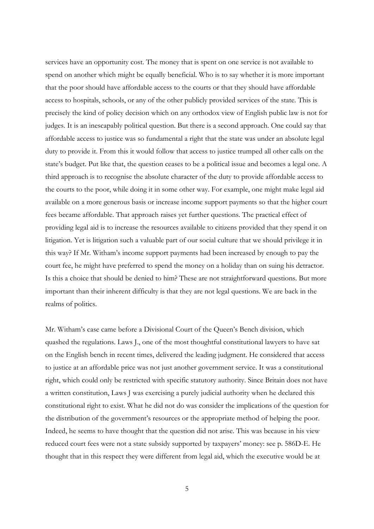services have an opportunity cost. The money that is spent on one service is not available to spend on another which might be equally beneficial. Who is to say whether it is more important that the poor should have affordable access to the courts or that they should have affordable access to hospitals, schools, or any of the other publicly provided services of the state. This is precisely the kind of policy decision which on any orthodox view of English public law is not for judges. It is an inescapably political question. But there is a second approach. One could say that affordable access to justice was so fundamental a right that the state was under an absolute legal duty to provide it. From this it would follow that access to justice trumped all other calls on the state's budget. Put like that, the question ceases to be a political issue and becomes a legal one. A third approach is to recognise the absolute character of the duty to provide affordable access to the courts to the poor, while doing it in some other way. For example, one might make legal aid available on a more generous basis or increase income support payments so that the higher court fees became affordable. That approach raises yet further questions. The practical effect of providing legal aid is to increase the resources available to citizens provided that they spend it on litigation. Yet is litigation such a valuable part of our social culture that we should privilege it in this way? If Mr. Witham's income support payments had been increased by enough to pay the court fee, he might have preferred to spend the money on a holiday than on suing his detractor. Is this a choice that should be denied to him? These are not straightforward questions. But more important than their inherent difficulty is that they are not legal questions. We are back in the realms of politics.

Mr. Witham's case came before a Divisional Court of the Queen's Bench division, which quashed the regulations. Laws J., one of the most thoughtful constitutional lawyers to have sat on the English bench in recent times, delivered the leading judgment. He considered that access to justice at an affordable price was not just another government service. It was a constitutional right, which could only be restricted with specific statutory authority. Since Britain does not have a written constitution, Laws J was exercising a purely judicial authority when he declared this constitutional right to exist. What he did not do was consider the implications of the question for the distribution of the government's resources or the appropriate method of helping the poor. Indeed, he seems to have thought that the question did not arise. This was because in his view reduced court fees were not a state subsidy supported by taxpayers' money: see p. 586D-E. He thought that in this respect they were different from legal aid, which the executive would be at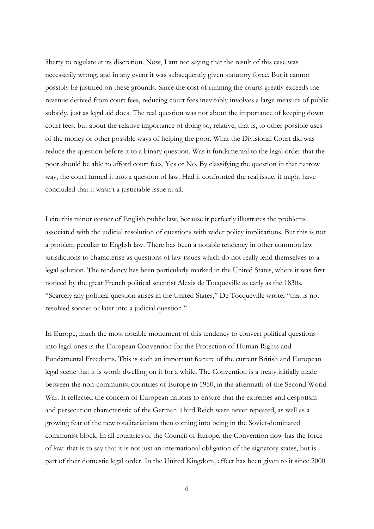liberty to regulate at its discretion. Now, I am not saying that the result of this case was necessarily wrong, and in any event it was subsequently given statutory force. But it cannot possibly be justified on these grounds. Since the cost of running the courts greatly exceeds the revenue derived from court fees, reducing court fees inevitably involves a large measure of public subsidy, just as legal aid does. The real question was not about the importance of keeping down court fees, but about the relative importance of doing so, relative, that is, to other possible uses of the money or other possible ways of helping the poor. What the Divisional Court did was reduce the question before it to a binary question. Was it fundamental to the legal order that the poor should be able to afford court fees, Yes or No. By classifying the question in that narrow way, the court turned it into a question of law. Had it confronted the real issue, it might have concluded that it wasn't a justiciable issue at all.

I cite this minor corner of English public law, because it perfectly illustrates the problems associated with the judicial resolution of questions with wider policy implications. But this is not a problem peculiar to English law. There has been a notable tendency in other common law jurisdictions to characterise as questions of law issues which do not really lend themselves to a legal solution. The tendency has been particularly marked in the United States, where it was first noticed by the great French political scientist Alexis de Tocqueville as early as the 1830s. "Scarcely any political question arises in the United States," De Tocqueville wrote, "that is not resolved sooner or later into a judicial question."

In Europe, much the most notable monument of this tendency to convert political questions into legal ones is the European Convention for the Protection of Human Rights and Fundamental Freedoms. This is such an important feature of the current British and European legal scene that it is worth dwelling on it for a while. The Convention is a treaty initially made between the non-communist countries of Europe in 1950, in the aftermath of the Second World War. It reflected the concern of European nations to ensure that the extremes and despotism and persecution characteristic of the German Third Reich were never repeated, as well as a growing fear of the new totalitarianism then coming into being in the Soviet-dominated communist block. In all countries of the Council of Europe, the Convention now has the force of law: that is to say that it is not just an international obligation of the signatory states, but is part of their domestic legal order. In the United Kingdom, effect has been given to it since 2000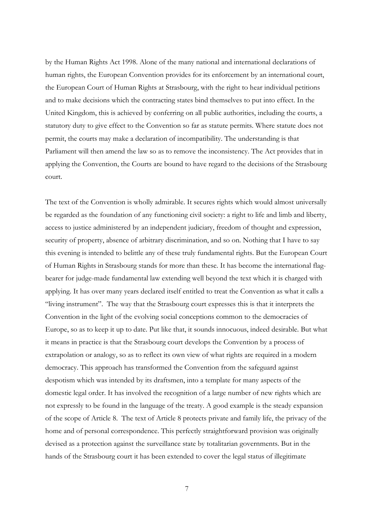by the Human Rights Act 1998. Alone of the many national and international declarations of human rights, the European Convention provides for its enforcement by an international court, the European Court of Human Rights at Strasbourg, with the right to hear individual petitions and to make decisions which the contracting states bind themselves to put into effect. In the United Kingdom, this is achieved by conferring on all public authorities, including the courts, a statutory duty to give effect to the Convention so far as statute permits. Where statute does not permit, the courts may make a declaration of incompatibility. The understanding is that Parliament will then amend the law so as to remove the inconsistency. The Act provides that in applying the Convention, the Courts are bound to have regard to the decisions of the Strasbourg court.

The text of the Convention is wholly admirable. It secures rights which would almost universally be regarded as the foundation of any functioning civil society: a right to life and limb and liberty, access to justice administered by an independent judiciary, freedom of thought and expression, security of property, absence of arbitrary discrimination, and so on. Nothing that I have to say this evening is intended to belittle any of these truly fundamental rights. But the European Court of Human Rights in Strasbourg stands for more than these. It has become the international flagbearer for judge-made fundamental law extending well beyond the text which it is charged with applying. It has over many years declared itself entitled to treat the Convention as what it calls a "living instrument". The way that the Strasbourg court expresses this is that it interprets the Convention in the light of the evolving social conceptions common to the democracies of Europe, so as to keep it up to date. Put like that, it sounds innocuous, indeed desirable. But what it means in practice is that the Strasbourg court develops the Convention by a process of extrapolation or analogy, so as to reflect its own view of what rights are required in a modern democracy. This approach has transformed the Convention from the safeguard against despotism which was intended by its draftsmen, into a template for many aspects of the domestic legal order. It has involved the recognition of a large number of new rights which are not expressly to be found in the language of the treaty. A good example is the steady expansion of the scope of Article 8. The text of Article 8 protects private and family life, the privacy of the home and of personal correspondence. This perfectly straightforward provision was originally devised as a protection against the surveillance state by totalitarian governments. But in the hands of the Strasbourg court it has been extended to cover the legal status of illegitimate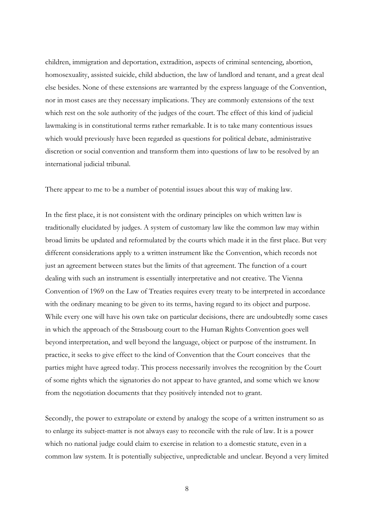children, immigration and deportation, extradition, aspects of criminal sentencing, abortion, homosexuality, assisted suicide, child abduction, the law of landlord and tenant, and a great deal else besides. None of these extensions are warranted by the express language of the Convention, nor in most cases are they necessary implications. They are commonly extensions of the text which rest on the sole authority of the judges of the court. The effect of this kind of judicial lawmaking is in constitutional terms rather remarkable. It is to take many contentious issues which would previously have been regarded as questions for political debate, administrative discretion or social convention and transform them into questions of law to be resolved by an international judicial tribunal.

There appear to me to be a number of potential issues about this way of making law.

In the first place, it is not consistent with the ordinary principles on which written law is traditionally elucidated by judges. A system of customary law like the common law may within broad limits be updated and reformulated by the courts which made it in the first place. But very different considerations apply to a written instrument like the Convention, which records not just an agreement between states but the limits of that agreement. The function of a court dealing with such an instrument is essentially interpretative and not creative. The Vienna Convention of 1969 on the Law of Treaties requires every treaty to be interpreted in accordance with the ordinary meaning to be given to its terms, having regard to its object and purpose. While every one will have his own take on particular decisions, there are undoubtedly some cases in which the approach of the Strasbourg court to the Human Rights Convention goes well beyond interpretation, and well beyond the language, object or purpose of the instrument. In practice, it seeks to give effect to the kind of Convention that the Court conceives that the parties might have agreed today. This process necessarily involves the recognition by the Court of some rights which the signatories do not appear to have granted, and some which we know from the negotiation documents that they positively intended not to grant.

Secondly, the power to extrapolate or extend by analogy the scope of a written instrument so as to enlarge its subject-matter is not always easy to reconcile with the rule of law. It is a power which no national judge could claim to exercise in relation to a domestic statute, even in a common law system. It is potentially subjective, unpredictable and unclear. Beyond a very limited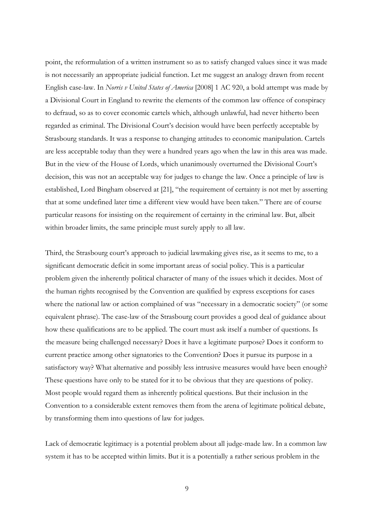point, the reformulation of a written instrument so as to satisfy changed values since it was made is not necessarily an appropriate judicial function. Let me suggest an analogy drawn from recent English case-law. In *Norris v United States of America* [2008] 1 AC 920, a bold attempt was made by a Divisional Court in England to rewrite the elements of the common law offence of conspiracy to defraud, so as to cover economic cartels which, although unlawful, had never hitherto been regarded as criminal. The Divisional Court's decision would have been perfectly acceptable by Strasbourg standards. It was a response to changing attitudes to economic manipulation. Cartels are less acceptable today than they were a hundred years ago when the law in this area was made. But in the view of the House of Lords, which unanimously overturned the Divisional Court's decision, this was not an acceptable way for judges to change the law. Once a principle of law is established, Lord Bingham observed at [21], "the requirement of certainty is not met by asserting that at some undefined later time a different view would have been taken." There are of course particular reasons for insisting on the requirement of certainty in the criminal law. But, albeit within broader limits, the same principle must surely apply to all law.

Third, the Strasbourg court's approach to judicial lawmaking gives rise, as it seems to me, to a significant democratic deficit in some important areas of social policy. This is a particular problem given the inherently political character of many of the issues which it decides. Most of the human rights recognised by the Convention are qualified by express exceptions for cases where the national law or action complained of was "necessary in a democratic society" (or some equivalent phrase). The case-law of the Strasbourg court provides a good deal of guidance about how these qualifications are to be applied. The court must ask itself a number of questions. Is the measure being challenged necessary? Does it have a legitimate purpose? Does it conform to current practice among other signatories to the Convention? Does it pursue its purpose in a satisfactory way? What alternative and possibly less intrusive measures would have been enough? These questions have only to be stated for it to be obvious that they are questions of policy. Most people would regard them as inherently political questions. But their inclusion in the Convention to a considerable extent removes them from the arena of legitimate political debate, by transforming them into questions of law for judges.

Lack of democratic legitimacy is a potential problem about all judge-made law. In a common law system it has to be accepted within limits. But it is a potentially a rather serious problem in the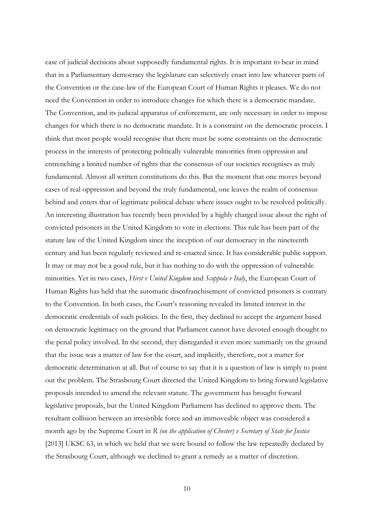case of judicial decisions about supposedly fundamental rights. It is important to bear in mind that in a Parliamentary democracy the legislature can selectively enact into law whatever parts of the Convention or the case-law of the European Court of Human Rights it pleases. We do not need the Convention in order to introduce changes for which there is a democratic mandate. The Convention, and its judicial apparatus of enforcement, are only necessary in order to impose changes for which there is no democratic mandate. It is a constraint on the democratic process. I think that most people would recognise that there must be some constraints on the democratic process in the interests of protecting politically vulnerable minorities from oppression and entrenching a limited number of rights that the consensus of our societies recognises as truly fundamental. Almost all written constitutions do this. But the moment that one moves beyond cases of real oppression and beyond the truly fundamental, one leaves the realm of consensus behind and enters that of legitimate political debate where issues ought to be resolved politically. An interesting illustration has recently been provided by a highly charged issue about the right of convicted prisoners in the United Kingdom to vote in elections. This rule has been part of the statute law of the United Kingdom since the inception of our democracy in the nineteenth century and has been regularly reviewed and re-enacted since. It has considerable public support. It may or may not be a good rule, but it has nothing to do with the oppression of vulnerable minorities. Yet in two cases, *Hirst v United Kingdom* and *Scoppola v Italy*, the European Court of Human Rights has held that the automatic disenfranchisement of convicted prisoners is contrary to the Convention. In both cases, the Court's reasoning revealed its limited interest in the democratic credentials of such policies. In the first, they declined to accept the argument based on democratic legitimacy on the ground that Parliament cannot have devoted enough thought to the penal policy involved. In the second, they disregarded it even more summarily on the ground that the issue was a matter of law for the court, and implicitly, therefore, not a matter for democratic determination at all. But of course to say that it is a question of law is simply to point out the problem. The Strasbourg Court directed the United Kingdom to bring forward legislative proposals intended to amend the relevant statute. The government has brought forward legislative proposals, but the United Kingdom Parliament has declined to approve them. The resultant collision between an irresistible force and an immoveable object was considered a month ago by the Supreme Court in *R (on the application of Chester) v Secretary of State for Justice*  [2013] UKSC 63, in which we held that we were bound to follow the law repeatedly declared by the Strasbourg Court, although we declined to grant a remedy as a matter of discretion.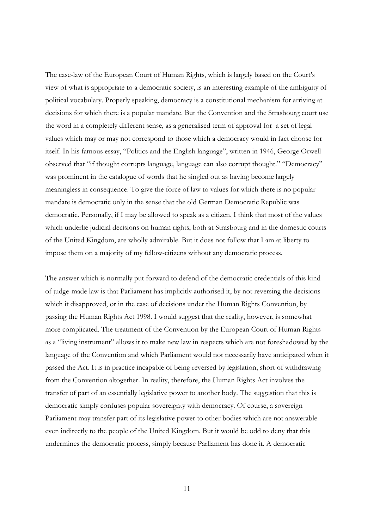The case-law of the European Court of Human Rights, which is largely based on the Court's view of what is appropriate to a democratic society, is an interesting example of the ambiguity of political vocabulary. Properly speaking, democracy is a constitutional mechanism for arriving at decisions for which there is a popular mandate. But the Convention and the Strasbourg court use the word in a completely different sense, as a generalised term of approval for a set of legal values which may or may not correspond to those which a democracy would in fact choose for itself. In his famous essay, "Politics and the English language", written in 1946, George Orwell observed that "if thought corrupts language, language can also corrupt thought." "Democracy" was prominent in the catalogue of words that he singled out as having become largely meaningless in consequence. To give the force of law to values for which there is no popular mandate is democratic only in the sense that the old German Democratic Republic was democratic. Personally, if I may be allowed to speak as a citizen, I think that most of the values which underlie judicial decisions on human rights, both at Strasbourg and in the domestic courts of the United Kingdom, are wholly admirable. But it does not follow that I am at liberty to impose them on a majority of my fellow-citizens without any democratic process.

The answer which is normally put forward to defend of the democratic credentials of this kind of judge-made law is that Parliament has implicitly authorised it, by not reversing the decisions which it disapproved, or in the case of decisions under the Human Rights Convention, by passing the Human Rights Act 1998. I would suggest that the reality, however, is somewhat more complicated. The treatment of the Convention by the European Court of Human Rights as a "living instrument" allows it to make new law in respects which are not foreshadowed by the language of the Convention and which Parliament would not necessarily have anticipated when it passed the Act. It is in practice incapable of being reversed by legislation, short of withdrawing from the Convention altogether. In reality, therefore, the Human Rights Act involves the transfer of part of an essentially legislative power to another body. The suggestion that this is democratic simply confuses popular sovereignty with democracy. Of course, a sovereign Parliament may transfer part of its legislative power to other bodies which are not answerable even indirectly to the people of the United Kingdom. But it would be odd to deny that this undermines the democratic process, simply because Parliament has done it. A democratic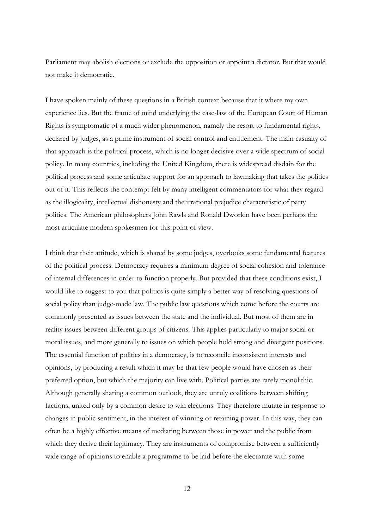Parliament may abolish elections or exclude the opposition or appoint a dictator. But that would not make it democratic.

I have spoken mainly of these questions in a British context because that it where my own experience lies. But the frame of mind underlying the case-law of the European Court of Human Rights is symptomatic of a much wider phenomenon, namely the resort to fundamental rights, declared by judges, as a prime instrument of social control and entitlement. The main casualty of that approach is the political process, which is no longer decisive over a wide spectrum of social policy. In many countries, including the United Kingdom, there is widespread disdain for the political process and some articulate support for an approach to lawmaking that takes the politics out of it. This reflects the contempt felt by many intelligent commentators for what they regard as the illogicality, intellectual dishonesty and the irrational prejudice characteristic of party politics. The American philosophers John Rawls and Ronald Dworkin have been perhaps the most articulate modern spokesmen for this point of view.

I think that their attitude, which is shared by some judges, overlooks some fundamental features of the political process. Democracy requires a minimum degree of social cohesion and tolerance of internal differences in order to function properly. But provided that these conditions exist, I would like to suggest to you that politics is quite simply a better way of resolving questions of social policy than judge-made law. The public law questions which come before the courts are commonly presented as issues between the state and the individual. But most of them are in reality issues between different groups of citizens. This applies particularly to major social or moral issues, and more generally to issues on which people hold strong and divergent positions. The essential function of politics in a democracy, is to reconcile inconsistent interests and opinions, by producing a result which it may be that few people would have chosen as their preferred option, but which the majority can live with. Political parties are rarely monolithic. Although generally sharing a common outlook, they are unruly coalitions between shifting factions, united only by a common desire to win elections. They therefore mutate in response to changes in public sentiment, in the interest of winning or retaining power. In this way, they can often be a highly effective means of mediating between those in power and the public from which they derive their legitimacy. They are instruments of compromise between a sufficiently wide range of opinions to enable a programme to be laid before the electorate with some

12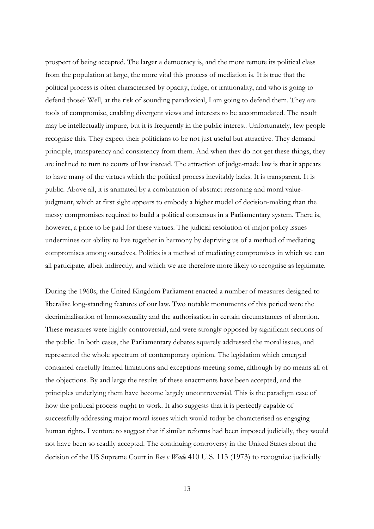prospect of being accepted. The larger a democracy is, and the more remote its political class from the population at large, the more vital this process of mediation is. It is true that the political process is often characterised by opacity, fudge, or irrationality, and who is going to defend those? Well, at the risk of sounding paradoxical, I am going to defend them. They are tools of compromise, enabling divergent views and interests to be accommodated. The result may be intellectually impure, but it is frequently in the public interest. Unfortunately, few people recognise this. They expect their politicians to be not just useful but attractive. They demand principle, transparency and consistency from them. And when they do not get these things, they are inclined to turn to courts of law instead. The attraction of judge-made law is that it appears to have many of the virtues which the political process inevitably lacks. It is transparent. It is public. Above all, it is animated by a combination of abstract reasoning and moral valuejudgment, which at first sight appears to embody a higher model of decision-making than the messy compromises required to build a political consensus in a Parliamentary system. There is, however, a price to be paid for these virtues. The judicial resolution of major policy issues undermines our ability to live together in harmony by depriving us of a method of mediating compromises among ourselves. Politics is a method of mediating compromises in which we can all participate, albeit indirectly, and which we are therefore more likely to recognise as legitimate.

During the 1960s, the United Kingdom Parliament enacted a number of measures designed to liberalise long-standing features of our law. Two notable monuments of this period were the decriminalisation of homosexuality and the authorisation in certain circumstances of abortion. These measures were highly controversial, and were strongly opposed by significant sections of the public. In both cases, the Parliamentary debates squarely addressed the moral issues, and represented the whole spectrum of contemporary opinion. The legislation which emerged contained carefully framed limitations and exceptions meeting some, although by no means all of the objections. By and large the results of these enactments have been accepted, and the principles underlying them have become largely uncontroversial. This is the paradigm case of how the political process ought to work. It also suggests that it is perfectly capable of successfully addressing major moral issues which would today be characterised as engaging human rights. I venture to suggest that if similar reforms had been imposed judicially, they would not have been so readily accepted. The continuing controversy in the United States about the decision of the US Supreme Court in *Roe v Wade* 410 U.S. 113 (1973) to recognize judicially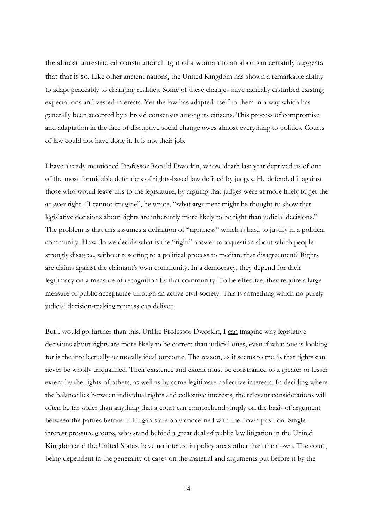the almost unrestricted constitutional right of a woman to an abortion certainly suggests that that is so. Like other ancient nations, the United Kingdom has shown a remarkable ability to adapt peaceably to changing realities. Some of these changes have radically disturbed existing expectations and vested interests. Yet the law has adapted itself to them in a way which has generally been accepted by a broad consensus among its citizens. This process of compromise and adaptation in the face of disruptive social change owes almost everything to politics. Courts of law could not have done it. It is not their job.

I have already mentioned Professor Ronald Dworkin, whose death last year deprived us of one of the most formidable defenders of rights-based law defined by judges. He defended it against those who would leave this to the legislature, by arguing that judges were at more likely to get the answer right. "I cannot imagine", he wrote, "what argument might be thought to show that legislative decisions about rights are inherently more likely to be right than judicial decisions." The problem is that this assumes a definition of "rightness" which is hard to justify in a political community. How do we decide what is the "right" answer to a question about which people strongly disagree, without resorting to a political process to mediate that disagreement? Rights are claims against the claimant's own community. In a democracy, they depend for their legitimacy on a measure of recognition by that community. To be effective, they require a large measure of public acceptance through an active civil society. This is something which no purely judicial decision-making process can deliver.

But I would go further than this. Unlike Professor Dworkin, I can imagine why legislative decisions about rights are more likely to be correct than judicial ones, even if what one is looking for is the intellectually or morally ideal outcome. The reason, as it seems to me, is that rights can never be wholly unqualified. Their existence and extent must be constrained to a greater or lesser extent by the rights of others, as well as by some legitimate collective interests. In deciding where the balance lies between individual rights and collective interests, the relevant considerations will often be far wider than anything that a court can comprehend simply on the basis of argument between the parties before it. Litigants are only concerned with their own position. Singleinterest pressure groups, who stand behind a great deal of public law litigation in the United Kingdom and the United States, have no interest in policy areas other than their own. The court, being dependent in the generality of cases on the material and arguments put before it by the